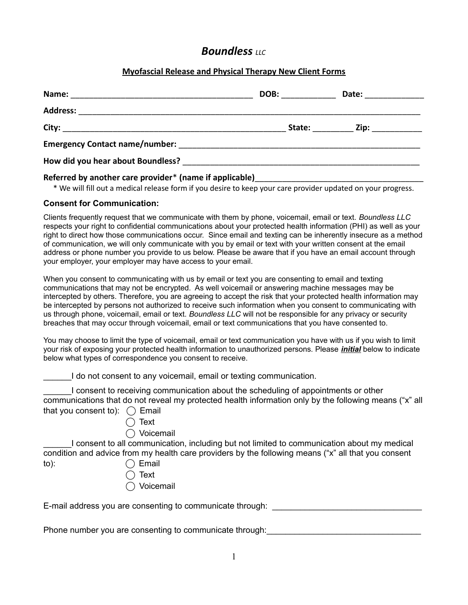### **Boundless** *LLC***</del>**

#### **Myofascial Release and Physical Therapy New Client Forms**

|                                                                                                                                                                                                                               | DOB: _______ | Date: __________                       |
|-------------------------------------------------------------------------------------------------------------------------------------------------------------------------------------------------------------------------------|--------------|----------------------------------------|
|                                                                                                                                                                                                                               |              |                                        |
|                                                                                                                                                                                                                               |              | State: ___________ Zip: ______________ |
|                                                                                                                                                                                                                               |              |                                        |
| How did you hear about Boundless? Now the control of the control of the control of the control of the control of the control of the control of the control of the control of the control of the control of the control of the |              |                                        |
| Referred by another care provider* (name if applicable)                                                                                                                                                                       |              |                                        |

\* We will fill out a medical release form if you desire to keep your care provider updated on your progress.

#### **Consent for Communication:**

Clients frequently request that we communicate with them by phone, voicemail, email or text. *Boundless LLC* respects your right to confidential communications about your protected health information (PHI) as well as your right to direct how those communications occur. Since email and texting can be inherently insecure as a method of communication, we will only communicate with you by email or text with your written consent at the email address or phone number you provide to us below. Please be aware that if you have an email account through your employer, your employer may have access to your email.

When you consent to communicating with us by email or text you are consenting to email and texting communications that may not be encrypted. As well voicemail or answering machine messages may be intercepted by others. Therefore, you are agreeing to accept the risk that your protected health information may be intercepted by persons not authorized to receive such information when you consent to communicating with us through phone, voicemail, email or text. *Boundless LLC* will not be responsible for any privacy or security breaches that may occur through voicemail, email or text communications that you have consented to.

You may choose to limit the type of voicemail, email or text communication you have with us if you wish to limit your risk of exposing your protected health information to unauthorized persons. Please *initial* below to indicate below what types of correspondence you consent to receive.

I do not consent to any voicemail, email or texting communication.

I consent to receiving communication about the scheduling of appointments or other communications that do not reveal my protected health information only by the following means ("x" all that you consent to):  $\bigcap$  Email

- - $\bigcap$  Text
	- ⃝ Voicemail

I consent to all communication, including but not limited to communication about my medical condition and advice from my health care providers by the following means ("x" all that you consent to):  $\bigcap$  Email

- 
- ⃝ Text
- **Voicemail**

E-mail address you are consenting to communicate through:  $\overline{\phantom{a}}$ 

Phone number you are consenting to communicate through: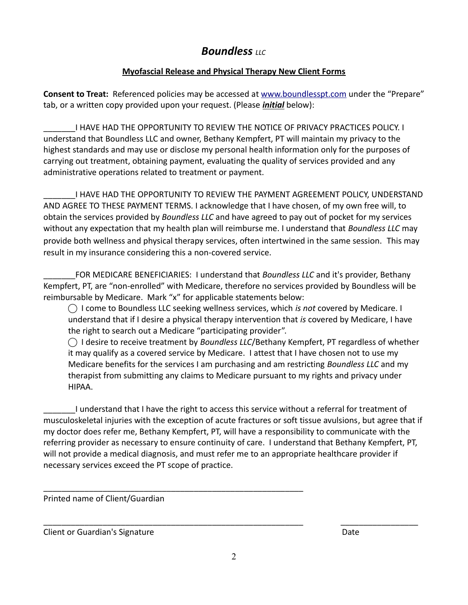# **Boundless** *LLC***</del>**

### **Myofascial Release and Physical Therapy New Client Forms**

**Consent to Treat:** Referenced policies may be accessed at [www.boundlesspt.com](http://www.boundlesspt.com/) under the "Prepare" tab, or a written copy provided upon your request. (Please *initial* below):

\_\_\_\_\_\_\_I HAVE HAD THE OPPORTUNITY TO REVIEW THE NOTICE OF PRIVACY PRACTICES POLICY. I understand that Boundless LLC and owner, Bethany Kempfert, PT will maintain my privacy to the highest standards and may use or disclose my personal health information only for the purposes of carrying out treatment, obtaining payment, evaluating the quality of services provided and any administrative operations related to treatment or payment.

\_\_\_\_\_\_\_I HAVE HAD THE OPPORTUNITY TO REVIEW THE PAYMENT AGREEMENT POLICY, UNDERSTAND AND AGREE TO THESE PAYMENT TERMS. I acknowledge that I have chosen, of my own free will, to obtain the services provided by *Boundless LLC* and have agreed to pay out of pocket for my services without any expectation that my health plan will reimburse me. I understand that *Boundless LLC* may provide both wellness and physical therapy services, often intertwined in the same session. This may result in my insurance considering this a non-covered service.

FOR MEDICARE BENEFICIARIES: I understand that *Boundless LLC* and it's provider, Bethany Kempfert, PT, are "non-enrolled" with Medicare, therefore no services provided by Boundless will be reimbursable by Medicare. Mark "x" for applicable statements below:

⃝ I come to Boundless LLC seeking wellness services, which *is not* covered by Medicare. I understand that if I desire a physical therapy intervention that *is* covered by Medicare, I have the right to search out a Medicare "participating provider".

◯ I desire to receive treatment by *Boundless LLC*/Bethany Kempfert, PT regardless of whether it may qualify as a covered service by Medicare. I attest that I have chosen not to use my Medicare benefits for the services I am purchasing and am restricting *Boundless LLC* and my therapist from submitting any claims to Medicare pursuant to my rights and privacy under HIPAA.

\_\_\_\_\_\_\_I understand that I have the right to access this service without a referral for treatment of musculoskeletal injuries with the exception of acute fractures or soft tissue avulsions, but agree that if my doctor does refer me, Bethany Kempfert, PT, will have a responsibility to communicate with the referring provider as necessary to ensure continuity of care. I understand that Bethany Kempfert, PT, will not provide a medical diagnosis, and must refer me to an appropriate healthcare provider if necessary services exceed the PT scope of practice.

\_\_\_\_\_\_\_\_\_\_\_\_\_\_\_\_\_\_\_\_\_\_\_\_\_\_\_\_\_\_\_\_\_\_\_\_\_\_\_\_\_\_\_\_\_\_\_\_\_\_\_\_\_\_\_\_\_

Printed name of Client/Guardian

Client or Guardian's SignatureDate

\_\_\_\_\_\_\_\_\_\_\_\_\_\_\_\_\_\_\_\_\_\_\_\_\_\_\_\_\_\_\_\_\_\_\_\_\_\_\_\_\_\_\_\_\_\_\_\_\_\_\_\_\_\_\_\_\_ \_\_\_\_\_\_\_\_\_\_\_\_\_\_\_\_\_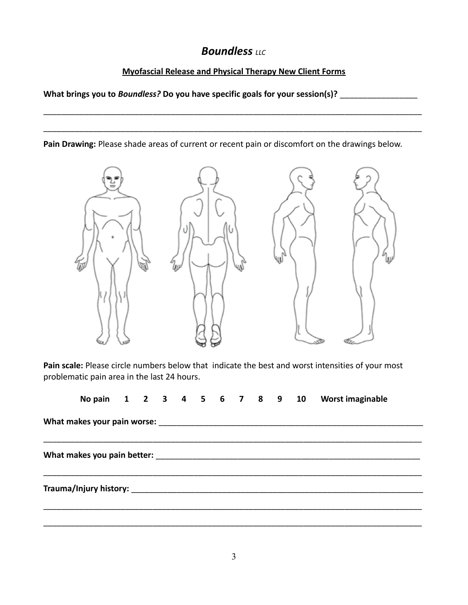## **Boundless** LLC

### **Myofascial Release and Physical Therapy New Client Forms**

\_\_\_\_\_\_\_\_\_\_\_\_\_\_\_\_\_\_\_\_\_\_\_\_\_\_\_\_\_\_\_\_\_\_\_\_\_\_\_\_\_\_\_\_\_\_\_\_\_\_\_\_\_\_\_\_\_\_\_\_\_\_\_\_\_\_\_\_\_\_\_\_\_\_\_\_\_\_\_\_\_\_\_

\_\_\_\_\_\_\_\_\_\_\_\_\_\_\_\_\_\_\_\_\_\_\_\_\_\_\_\_\_\_\_\_\_\_\_\_\_\_\_\_\_\_\_\_\_\_\_\_\_\_\_\_\_\_\_\_\_\_\_\_\_\_\_\_\_\_\_\_\_\_\_\_\_\_\_\_\_\_\_\_\_\_\_

What brings you to *Boundless?* Do you have specific goals for your session(s)? \_\_\_\_\_\_\_\_\_\_\_\_\_\_\_\_\_\_\_\_\_\_\_\_\_\_\_\_\_\_\_\_\_

**Pain Drawing:** Please shade areas of current or recent pain or discomfort on the drawings below.



**Pain scale:** Please circle numbers below that indicate the best and worst intensities of your most problematic pain area in the last 24 hours.

|  |  |  |  |  |  | No pain 1 2 3 4 5 6 7 8 9 10 Worst imaginable |
|--|--|--|--|--|--|-----------------------------------------------|
|  |  |  |  |  |  |                                               |
|  |  |  |  |  |  |                                               |
|  |  |  |  |  |  |                                               |
|  |  |  |  |  |  |                                               |
|  |  |  |  |  |  |                                               |